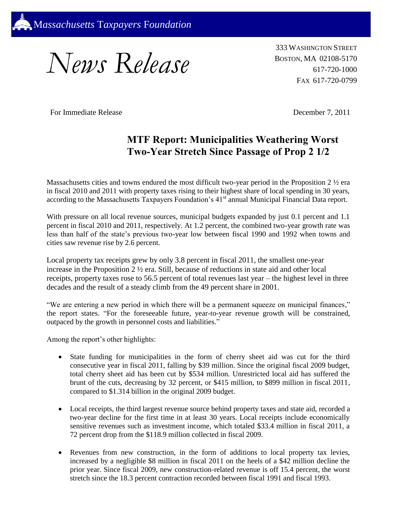

*News Release*

333 WASHINGTON STREET BOSTON, MA 02108-5170 617-720-1000 FAX 617-720-0799

For Immediate Release December 7, 2011

## **MTF Report: Municipalities Weathering Worst Two-Year Stretch Since Passage of Prop 2 1/2**

Massachusetts cities and towns endured the most difficult two-year period in the Proposition 2 ½ era in fiscal 2010 and 2011 with property taxes rising to their highest share of local spending in 30 years, according to the Massachusetts Taxpayers Foundation's 41<sup>st</sup> annual Municipal Financial Data report.

With pressure on all local revenue sources, municipal budgets expanded by just 0.1 percent and 1.1 percent in fiscal 2010 and 2011, respectively. At 1.2 percent, the combined two-year growth rate was less than half of the state's previous two-year low between fiscal 1990 and 1992 when towns and cities saw revenue rise by 2.6 percent.

Local property tax receipts grew by only 3.8 percent in fiscal 2011, the smallest one-year increase in the Proposition 2 ½ era. Still, because of reductions in state aid and other local receipts, property taxes rose to 56.5 percent of total revenues last year – the highest level in three decades and the result of a steady climb from the 49 percent share in 2001.

"We are entering a new period in which there will be a permanent squeeze on municipal finances," the report states. "For the foreseeable future, year-to-year revenue growth will be constrained, outpaced by the growth in personnel costs and liabilities."

Among the report's other highlights:

- State funding for municipalities in the form of cherry sheet aid was cut for the third consecutive year in fiscal 2011, falling by \$39 million. Since the original fiscal 2009 budget, total cherry sheet aid has been cut by \$534 million. Unrestricted local aid has suffered the brunt of the cuts, decreasing by 32 percent, or \$415 million, to \$899 million in fiscal 2011, compared to \$1.314 billion in the original 2009 budget.
- Local receipts, the third largest revenue source behind property taxes and state aid, recorded a two-year decline for the first time in at least 30 years. Local receipts include economically sensitive revenues such as investment income, which totaled \$33.4 million in fiscal 2011, a 72 percent drop from the \$118.9 million collected in fiscal 2009.
- Revenues from new construction, in the form of additions to local property tax levies, increased by a negligible \$8 million in fiscal 2011 on the heels of a \$42 million decline the prior year. Since fiscal 2009, new construction-related revenue is off 15.4 percent, the worst stretch since the 18.3 percent contraction recorded between fiscal 1991 and fiscal 1993.